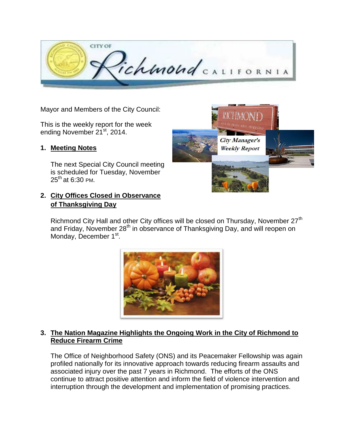

Mayor and Members of the City Council:

This is the weekly report for the week ending November 21<sup>st</sup>, 2014.

## **1. Meeting Notes**

The next Special City Council meeting is scheduled for Tuesday, November  $25^{th}$  at 6:30 PM.

## **2. City Offices Closed in Observance of Thanksgiving Day**



Richmond City Hall and other City offices will be closed on Thursday, November 27<sup>th</sup> and Friday, November 28<sup>th</sup> in observance of Thanksgiving Day, and will reopen on Monday, December 1<sup>st</sup>.



#### **3. The Nation Magazine Highlights the Ongoing Work in the City of Richmond to Reduce Firearm Crime**

The Office of Neighborhood Safety (ONS) and its Peacemaker Fellowship was again profiled nationally for its innovative approach towards reducing firearm assaults and associated injury over the past 7 years in Richmond. The efforts of the ONS continue to attract positive attention and inform the field of violence intervention and interruption through the development and implementation of promising practices.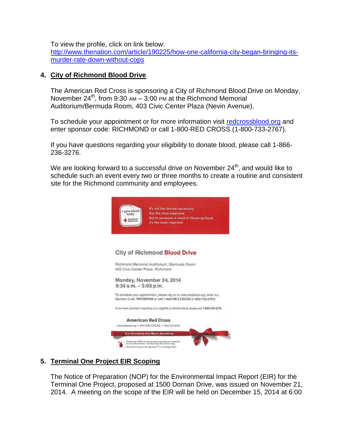To view the profile, click on link below:

[http://www.thenation.com/article/190225/how-one-california-city-began-bringing-its](http://www.thenation.com/article/190225/how-one-california-city-began-bringing-its-murder-rate-down-without-cops)[murder-rate-down-without-cops](http://www.thenation.com/article/190225/how-one-california-city-began-bringing-its-murder-rate-down-without-cops)

### **4. City of Richmond Blood Drive**

The American Red Cross is sponsoring a City of Richmond Blood Drive on Monday, November  $24^{th}$ , from 9:30 AM – 3:00 PM at the Richmond Memorial Auditorium/Bermuda Room, 403 Civic Center Plaza (Nevin Avenue).

To schedule your appointment or for more information visit [redcrossblood.org](file:///C:/Users/kadlecs/AppData/Local/Microsoft/Windows/Temporary%20Internet%20Files/Content.Outlook/EITI391U/redcrossblood.org) and enter sponsor code: RICHMOND or call 1-800-RED CROSS (1-800-733-2767).

If you have questions regarding your eligibility to donate blood, please call 1-866- 236-3276.

We are looking forward to a successful drive on November  $24<sup>th</sup>$ , and would like to schedule such an event every two or three months to create a routine and consistent site for the Richmond community and employees.



## **5. Terminal One Project EIR Scoping**

The Notice of Preparation (NOP) for the Environmental Impact Report (EIR) for the Terminal One Project, proposed at 1500 Dornan Drive, was issued on November 21, 2014. A meeting on the scope of the EIR will be held on December 15, 2014 at 6:00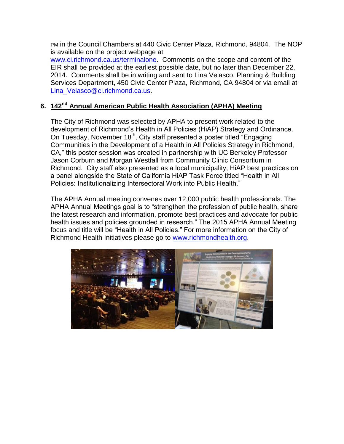PM in the Council Chambers at 440 Civic Center Plaza, Richmond, 94804. The NOP is available on the project webpage at

[www.ci.richmond.ca.us/terminalone.](http://www.ci.richmond.ca.us/terminalone) Comments on the scope and content of the EIR shall be provided at the earliest possible date, but no later than December 22, 2014. Comments shall be in writing and sent to Lina Velasco, Planning & Building Services Department, 450 Civic Center Plaza, Richmond, CA 94804 or via email at [Lina\\_Velasco@ci.richmond.ca.us.](mailto:Lina_Velasco@ci.richmond.ca.us)

## **6. 142nd Annual American Public Health Association (APHA) Meeting**

The City of Richmond was selected by APHA to present work related to the development of Richmond's Health in All Policies (HiAP) Strategy and Ordinance. On Tuesday, November 18<sup>th</sup>, City staff presented a poster titled "Engaging Communities in the Development of a Health in All Policies Strategy in Richmond, CA," this poster session was created in partnership with UC Berkeley Professor Jason Corburn and Morgan Westfall from Community Clinic Consortium in Richmond. City staff also presented as a local municipality, HiAP best practices on a panel alongside the State of California HiAP Task Force titled "Health in All Policies: Institutionalizing Intersectoral Work into Public Health."

The APHA Annual meeting convenes over 12,000 public health professionals. The APHA Annual Meetings goal is to "strengthen the profession of public health, share the latest research and information, promote best practices and advocate for public health issues and policies grounded in research." The 2015 APHA Annual Meeting focus and title will be "Health in All Policies." For more information on the City of Richmond Health Initiatives please go to [www.richmondhealth.org.](http://www.richmondhealth.org/)

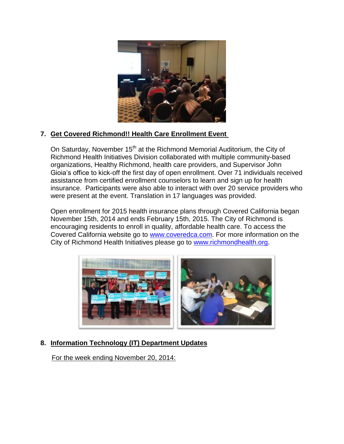

## **7. Get Covered Richmond!! Health Care Enrollment Event**

On Saturday, November 15<sup>th</sup> at the Richmond Memorial Auditorium, the City of Richmond Health Initiatives Division collaborated with multiple community-based organizations, Healthy Richmond, health care providers, and Supervisor John Gioia's office to kick-off the first day of open enrollment. Over 71 individuals received assistance from certified enrollment counselors to learn and sign up for health insurance. Participants were also able to interact with over 20 service providers who were present at the event. Translation in 17 languages was provided.

Open enrollment for 2015 health insurance plans through Covered California began November 15th, 2014 and ends February 15th, 2015. The City of Richmond is encouraging residents to enroll in quality, affordable health care. To access the Covered California website go to [www.coveredca.com.](http://www.coveredca.com/) For more information on the City of Richmond Health Initiatives please go to [www.richmondhealth.org.](http://www.richmondhealth.org/)



# **8. Information Technology (IT) Department Updates**

For the week ending November 20, 2014: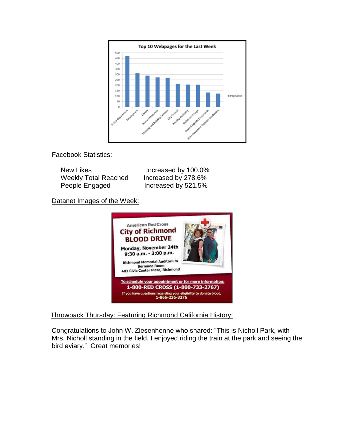

Facebook Statistics:

| New Likes            | Increased by 100.0% |
|----------------------|---------------------|
| Weekly Total Reached | Increased by 278.6% |
| People Engaged       | Increased by 521.5% |

Datanet Images of the Week:



Throwback Thursday: Featuring Richmond California History:

Congratulations to John W. Ziesenhenne who shared: "This is Nicholl Park, with Mrs. Nicholl standing in the field. I enjoyed riding the train at the park and seeing the bird aviary." Great memories!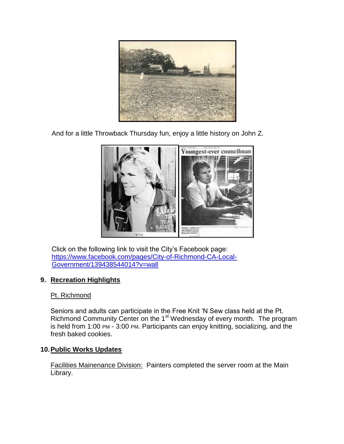

And for a little Throwback Thursday fun, enjoy a little history on John Z.



Click on the following link to visit the City's Facebook page: [https://www.facebook.com/pages/City-of-Richmond-CA-Local-](https://www.facebook.com/pages/City-of-Richmond-CA-Local-Government/139438544014?v=wall)[Government/139438544014?v=wall](https://www.facebook.com/pages/City-of-Richmond-CA-Local-Government/139438544014?v=wall)

## **9. Recreation Highlights**

## Pt. Richmond

Seniors and adults can participate in the Free Knit 'N Sew class held at the Pt. Richmond Community Center on the 1<sup>st</sup> Wednesday of every month. The program is held from 1:00 PM - 3:00 PM. Participants can enjoy knitting, socializing, and the fresh baked cookies.

## **10.Public Works Updates**

Facilities Mainenance Division: Painters completed the server room at the Main Library.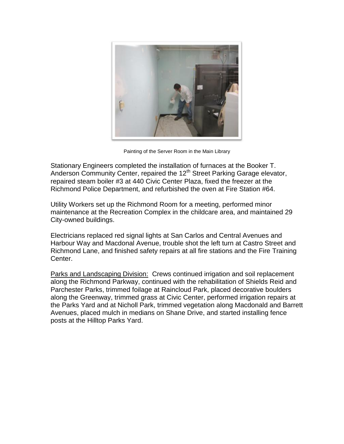

Painting of the Server Room in the Main Library

Stationary Engineers completed the installation of furnaces at the Booker T. Anderson Community Center, repaired the 12<sup>th</sup> Street Parking Garage elevator, repaired steam boiler #3 at 440 Civic Center Plaza, fixed the freezer at the Richmond Police Department, and refurbished the oven at Fire Station #64.

Utility Workers set up the Richmond Room for a meeting, performed minor maintenance at the Recreation Complex in the childcare area, and maintained 29 City-owned buildings.

Electricians replaced red signal lights at San Carlos and Central Avenues and Harbour Way and Macdonal Avenue, trouble shot the left turn at Castro Street and Richmond Lane, and finished safety repairs at all fire stations and the Fire Training Center.

Parks and Landscaping Division: Crews continued irrigation and soil replacement along the Richmond Parkway, continued with the rehabilitation of Shields Reid and Parchester Parks, trimmed foilage at Raincloud Park, placed decorative boulders along the Greenway, trimmed grass at Civic Center, performed irrigation repairs at the Parks Yard and at Nicholl Park, trimmed vegetation along Macdonald and Barrett Avenues, placed mulch in medians on Shane Drive, and started installing fence posts at the Hilltop Parks Yard.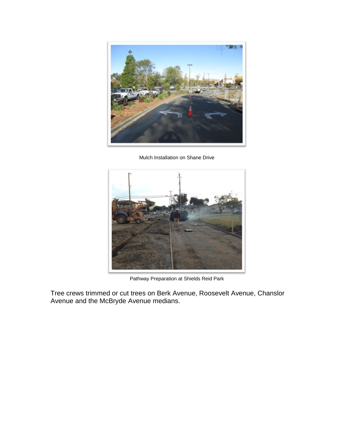

Mulch Installation on Shane Drive



Pathway Preparation at Shields Reid Park

Tree crews trimmed or cut trees on Berk Avenue, Roosevelt Avenue, Chanslor Avenue and the McBryde Avenue medians.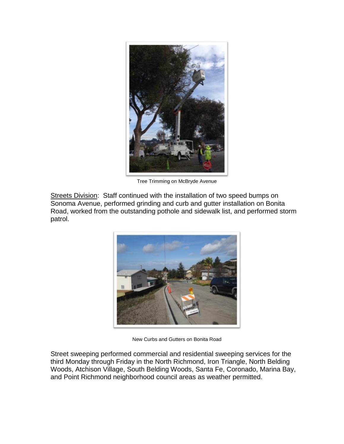

Tree Trimming on McBryde Avenue

Streets Division: Staff continued with the installation of two speed bumps on Sonoma Avenue, performed grinding and curb and gutter installation on Bonita Road, worked from the outstanding pothole and sidewalk list, and performed storm patrol.



New Curbs and Gutters on Bonita Road

Street sweeping performed commercial and residential sweeping services for the third Monday through Friday in the North Richmond, Iron Triangle, North Belding Woods, Atchison Village, South Belding Woods, Santa Fe, Coronado, Marina Bay, and Point Richmond neighborhood council areas as weather permitted.